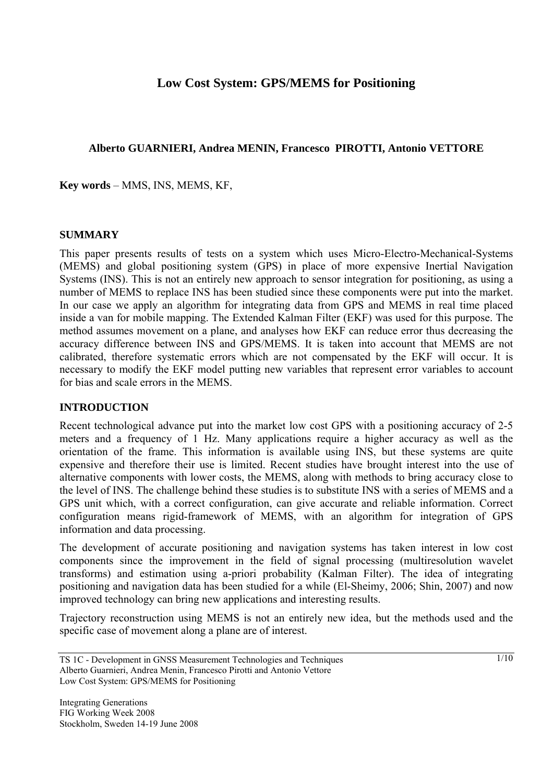# **Low Cost System: GPS/MEMS for Positioning**

### **Alberto GUARNIERI, Andrea MENIN, Francesco PIROTTI, Antonio VETTORE**

**Key words** – MMS, INS, MEMS, KF,

### **SUMMARY**

This paper presents results of tests on a system which uses Micro-Electro-Mechanical-Systems (MEMS) and global positioning system (GPS) in place of more expensive Inertial Navigation Systems (INS). This is not an entirely new approach to sensor integration for positioning, as using a number of MEMS to replace INS has been studied since these components were put into the market. In our case we apply an algorithm for integrating data from GPS and MEMS in real time placed inside a van for mobile mapping. The Extended Kalman Filter (EKF) was used for this purpose. The method assumes movement on a plane, and analyses how EKF can reduce error thus decreasing the accuracy difference between INS and GPS/MEMS. It is taken into account that MEMS are not calibrated, therefore systematic errors which are not compensated by the EKF will occur. It is necessary to modify the EKF model putting new variables that represent error variables to account for bias and scale errors in the MEMS.

### **INTRODUCTION**

Recent technological advance put into the market low cost GPS with a positioning accuracy of 2-5 meters and a frequency of 1 Hz. Many applications require a higher accuracy as well as the orientation of the frame. This information is available using INS, but these systems are quite expensive and therefore their use is limited. Recent studies have brought interest into the use of alternative components with lower costs, the MEMS, along with methods to bring accuracy close to the level of INS. The challenge behind these studies is to substitute INS with a series of MEMS and a GPS unit which, with a correct configuration, can give accurate and reliable information. Correct configuration means rigid-framework of MEMS, with an algorithm for integration of GPS information and data processing.

The development of accurate positioning and navigation systems has taken interest in low cost components since the improvement in the field of signal processing (multiresolution wavelet transforms) and estimation using a-priori probability (Kalman Filter). The idea of integrating positioning and navigation data has been studied for a while (El-Sheimy, 2006; Shin, 2007) and now improved technology can bring new applications and interesting results.

Trajectory reconstruction using MEMS is not an entirely new idea, but the methods used and the specific case of movement along a plane are of interest.

TS 1C - Development in GNSS Measurement Technologies and Techniques Alberto Guarnieri, Andrea Menin, Francesco Pirotti and Antonio Vettore Low Cost System: GPS/MEMS for Positioning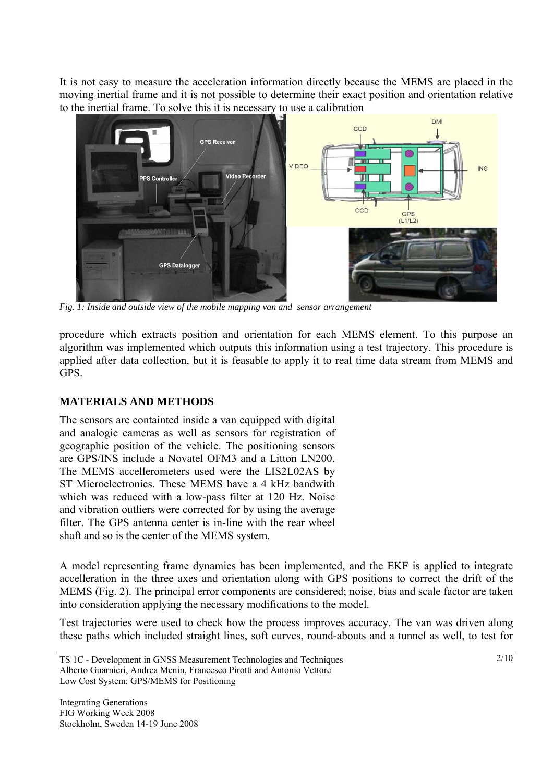It is not easy to measure the acceleration information directly because the MEMS are placed in the moving inertial frame and it is not possible to determine their exact position and orientation relative to the inertial frame. To solve this it is necessary to use a calibration



*Fig. 1: Inside and outside view of the mobile mapping van and sensor arrangement* 

procedure which extracts position and orientation for each MEMS element. To this purpose an algorithm was implemented which outputs this information using a test trajectory. This procedure is applied after data collection, but it is feasable to apply it to real time data stream from MEMS and GPS.

## **MATERIALS AND METHODS**

The sensors are containted inside a van equipped with digital and analogic cameras as well as sensors for registration of geographic position of the vehicle. The positioning sensors are GPS/INS include a Novatel OFM3 and a Litton LN200. The MEMS accellerometers used were the LIS2L02AS by ST Microelectronics. These MEMS have a 4 kHz bandwith which was reduced with a low-pass filter at 120 Hz. Noise and vibration outliers were corrected for by using the average filter. The GPS antenna center is in-line with the rear wheel shaft and so is the center of the MEMS system.

A model representing frame dynamics has been implemented, and the EKF is applied to integrate accelleration in the three axes and orientation along with GPS positions to correct the drift of the MEMS (Fig. 2). The principal error components are considered; noise, bias and scale factor are taken into consideration applying the necessary modifications to the model.

Test trajectories were used to check how the process improves accuracy. The van was driven along these paths which included straight lines, soft curves, round-abouts and a tunnel as well, to test for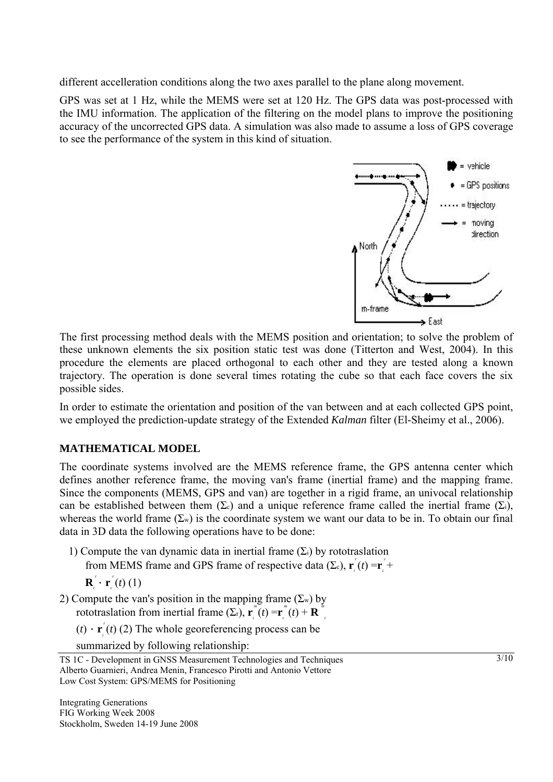different accelleration conditions along the two axes parallel to the plane along movement.

GPS was set at 1 Hz, while the MEMS were set at 120 Hz. The GPS data was post-processed with the IMU information. The application of the filtering on the model plans to improve the positioning accuracy of the uncorrected GPS data. A simulation was also made to assume a loss of GPS coverage to see the performance of the system in this kind of situation.



The first processing method deals with the MEMS position and orientation; to solve the problem of these unknown elements the six position static test was done (Titterton and West, 2004). In this procedure the elements are placed orthogonal to each other and they are tested along a known trajectory. The operation is done several times rotating the cube so that each face covers the six possible sides.

In order to estimate the orientation and position of the van between and at each collected GPS point, we employed the prediction-update strategy of the Extended *Kalman* filter (El-Sheimy et al., 2006).

## **MATHEMATICAL MODEL**

The coordinate systems involved are the MEMS reference frame, the GPS antenna center which defines another reference frame, the moving van's frame (inertial frame) and the mapping frame. Since the components (MEMS, GPS and van) are together in a rigid frame, an univocal relationship can be established between them  $(\Sigma_c)$  and a unique reference frame called the inertial frame  $(\Sigma_i)$ , whereas the world frame  $(\Sigma_w)$  is the coordinate system we want our data to be in. To obtain our final data in 3D data the following operations have to be done:

1) Compute the van dynamic data in inertial frame  $(\Sigma_i)$  by rototraslation from MEMS frame and GPS frame of respective data (Σc),  $\mathbf{r}_i(t) = \mathbf{r}_i +$ 

$$
\mathbf{R}_{c}^{'}\cdot\mathbf{r}_{c}^{'}(t)\left(1\right)
$$

- 2) Compute the van's position in the mapping frame  $(\Sigma_w)$  by rototraslation from inertial frame  $(\Sigma_r)$ ,  $\mathbf{r}^m_i(t) = \mathbf{r}^m_i(t) + \mathbf{R}^m_i$ 
	- $(t) \cdot \mathbf{r}^r$  (*t*) (2) The whole georeferencing process can be

summarized by following relationship:

TS 1C - Development in GNSS Measurement Technologies and Techniques Alberto Guarnieri, Andrea Menin, Francesco Pirotti and Antonio Vettore Low Cost System: GPS/MEMS for Positioning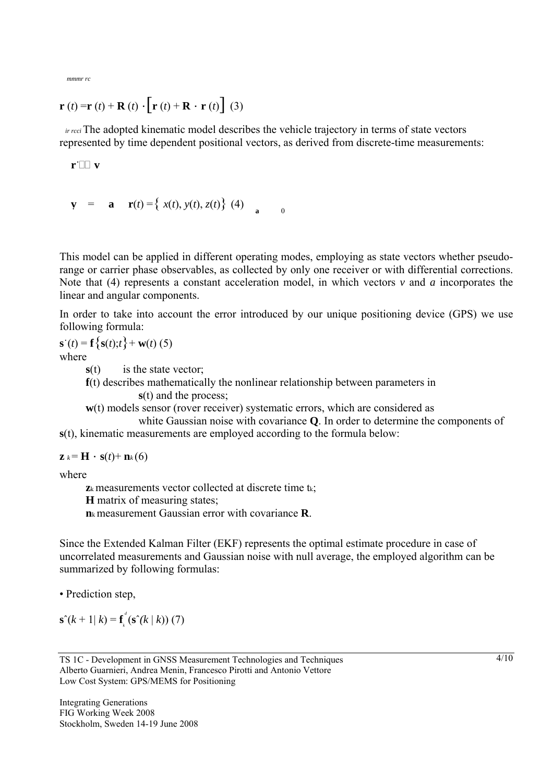$$
mmmr\;rc
$$

$$
\mathbf{r}(t) = \mathbf{r}(t) + \mathbf{R}(t) \cdot \left[ \mathbf{r}(t) + \mathbf{R} \cdot \mathbf{r}(t) \right] (3)
$$

*ir rcci* The adopted kinematic model describes the vehicle trajectory in terms of state vectors represented by time dependent positional vectors, as derived from discrete-time measurements:

 $\mathbf{r}$ **W** 

**v** = **a r**(*t*) ={ *x*(*t*), *y*(*t*), *z*(*t*)} (4) **a** 

This model can be applied in different operating modes, employing as state vectors whether pseudorange or carrier phase observables, as collected by only one receiver or with differential corrections. Note that (4) represents a constant acceleration model, in which vectors *v* and *a* incorporates the linear and angular components.

0

In order to take into account the error introduced by our unique positioning device (GPS) we use following formula:

$$
\mathbf{s}^{\cdot}(t) = \mathbf{f}\left\{\mathbf{s}(t); t\right\} + \mathbf{w}(t) \tag{5}
$$

where

**s**(t) is the state vector;

**f**(t) describes mathematically the nonlinear relationship between parameters in **s**(t) and the process;

**w**(t) models sensor (rover receiver) systematic errors, which are considered as

white Gaussian noise with covariance **Q**. In order to determine the components of **s**(t), kinematic measurements are employed according to the formula below:

 $z_k = H \cdot s(t) + n_k(6)$ 

where

**z**<sub>k</sub> measurements vector collected at discrete time t<sub>k</sub>:

**H** matrix of measuring states;

**n**k measurement Gaussian error with covariance **R**.

Since the Extended Kalman Filter (EKF) represents the optimal estimate procedure in case of uncorrelated measurements and Gaussian noise with null average, the employed algorithm can be summarized by following formulas:

• Prediction step,

 $\mathbf{s}^{\hat{ }}(k+1|k)=\mathbf{f}_{k}$  $\int_{a}^{d}$  (**s**<sup> $\hat{ }$ </sup>(*k* | *k*)) (7)

TS 1C - Development in GNSS Measurement Technologies and Techniques Alberto Guarnieri, Andrea Menin, Francesco Pirotti and Antonio Vettore Low Cost System: GPS/MEMS for Positioning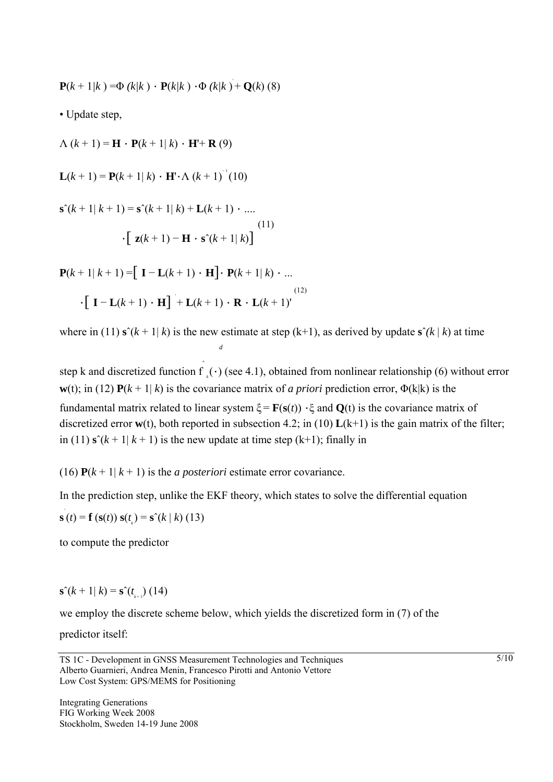$$
\mathbf{P}(k + 1/k) = \Phi (k/k) \cdot \mathbf{P}(k/k) \cdot \Phi (k/k) + \mathbf{Q}(k) (8)
$$

• Update step,

 $\Lambda (k + 1) = H \cdot P(k + 1 | k) \cdot H' + R(9)$ **L**( $k + 1$ ) = **P**( $k + 1 | k$ ) · **H**'· $\Lambda$  ( $k + 1$ )<sup>-1</sup>(10)  $\mathbf{s}^{\hat{ }}(k+1|k+1) = \mathbf{s}^{\hat{ }}(k+1|k) + \mathbf{L}(k+1) \cdot \dots$  $\cdot$ [ **z**( $k$  + 1) – **H**  $\cdot$  **s**<sup> $\hat{ }$ </sup>( $k$  + 1|  $k$ )] (11) **P**( $k + 1$ | $k + 1$ ) =  $\begin{bmatrix} I - L(k + 1) \cdot H \end{bmatrix}$ · **P**( $k + 1$ | $k$ ) ·

$$
\cdot \left[ \mathbf{I} - \mathbf{L}(k+1) \cdot \mathbf{H} \right] + \mathbf{L}(k+1) \cdot \mathbf{R} \cdot \mathbf{L}(k+1)
$$
\n(12)

where in (11)  $\mathbf{s}^{\hat{}}(k+1|k)$  is the new estimate at step (k+1), as derived by update  $\mathbf{s}^{\hat{}}(k|k)$  at time *d*

step k and discretized function  $\hat{f}$  $k<sub>k</sub>(·)$  (see 4.1), obtained from nonlinear relationship (6) without error **w**(t); in (12)  $P(k + 1 | k)$  is the covariance matrix of *a priori* prediction error,  $\Phi(k|k)$  is the fundamental matrix related to linear system  $\xi = \mathbf{F}(\mathbf{s}(t)) \cdot \xi$  and  $\mathbf{Q}(t)$  is the covariance matrix of discretized error **w**(t), both reported in subsection 4.2; in (10) **L**(k+1) is the gain matrix of the filter; in (11)  $\mathbf{s}^{\prime}(k+1|k+1)$  is the new update at time step (k+1); finally in

(16)  $P(k+1|k+1)$  is the *a posteriori* estimate error covariance.

In the prediction step, unlike the EKF theory, which states to solve the differential equation

**s** (*t*) = **f** (**s**(*t*)) **s**(*t*<sub>*k*</sub>) = **s**<sup> $\hat{ }$ </sup>(*k* | *k*) (13)

to compute the predictor

$$
\mathbf{s}^{\hat{ }}(k+1|k)=\mathbf{s}^{\hat{ }}(t_{_{k+1}})(14)
$$

we employ the discrete scheme below, which yields the discretized form in (7) of the

predictor itself:

TS 1C - Development in GNSS Measurement Technologies and Techniques Alberto Guarnieri, Andrea Menin, Francesco Pirotti and Antonio Vettore Low Cost System: GPS/MEMS for Positioning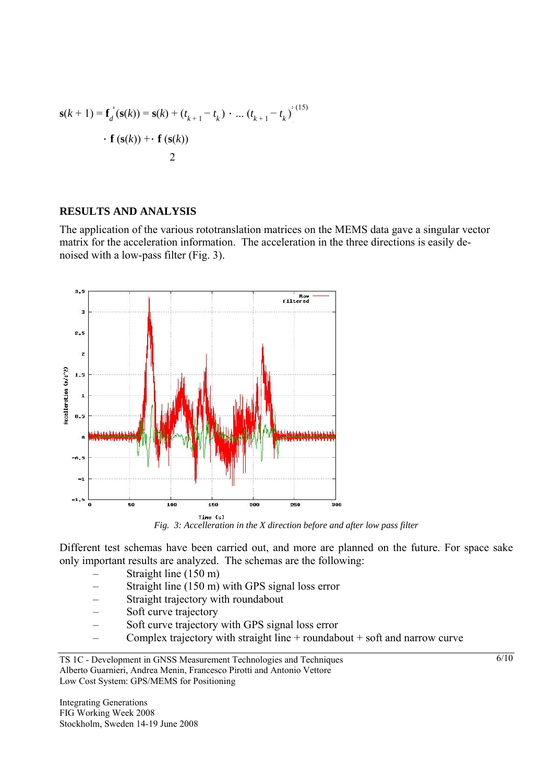$$
\mathbf{s}(k+1) = \mathbf{f}_d^{\ t}(\mathbf{s}(k)) = \mathbf{s}(k) + (t_{k+1} - t_k) \cdot ... (t_{k+1} - t_k)^{2(15)}
$$
  
•  $\mathbf{f}(\mathbf{s}(k)) + \mathbf{f}(\mathbf{s}(k))$ 

### **RESULTS AND ANALYSIS**

The application of the various rototranslation matrices on the MEMS data gave a singular vector matrix for the acceleration information. The acceleration in the three directions is easily denoised with a low-pass filter (Fig. 3).



*Fine (s)*<br>*Fig. 3: Accelleration in the X direction before and after low pass filter* 

Different test schemas have been carried out, and more are planned on the future. For space sake only important results are analyzed. The schemas are the following:

- Straight line (150 m)
- Straight line (150 m) with GPS signal loss error
- Straight trajectory with roundabout
- Soft curve trajectory
- Soft curve trajectory with GPS signal loss error
- Complex trajectory with straight line + roundabout + soft and narrow curve

Integrating Generations FIG Working Week 2008 Stockholm, Sweden 14-19 June 2008

TS 1C - Development in GNSS Measurement Technologies and Techniques Alberto Guarnieri, Andrea Menin, Francesco Pirotti and Antonio Vettore Low Cost System: GPS/MEMS for Positioning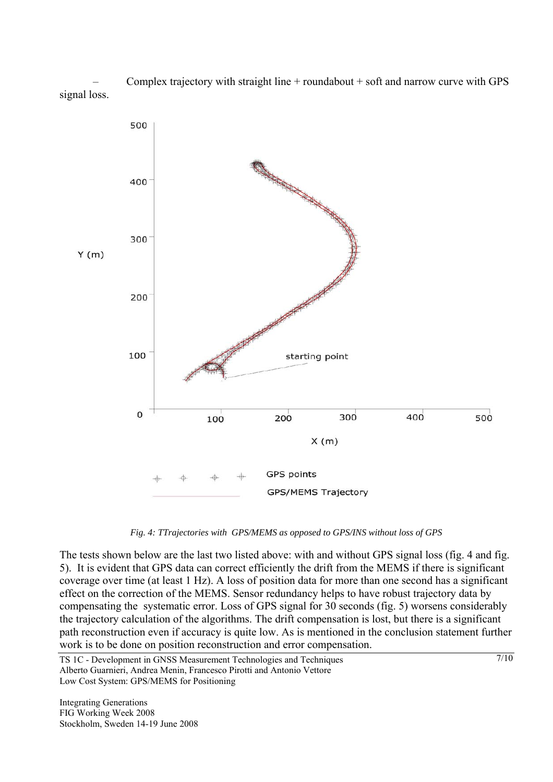Complex trajectory with straight line  $+$  roundabout  $+$  soft and narrow curve with GPS signal loss.



*Fig. 4: TTrajectories with GPS/MEMS as opposed to GPS/INS without loss of GPS* 

The tests shown below are the last two listed above: with and without GPS signal loss (fig. 4 and fig. 5). It is evident that GPS data can correct efficiently the drift from the MEMS if there is significant coverage over time (at least 1 Hz). A loss of position data for more than one second has a significant effect on the correction of the MEMS. Sensor redundancy helps to have robust trajectory data by compensating the systematic error. Loss of GPS signal for 30 seconds (fig. 5) worsens considerably the trajectory calculation of the algorithms. The drift compensation is lost, but there is a significant path reconstruction even if accuracy is quite low. As is mentioned in the conclusion statement further work is to be done on position reconstruction and error compensation.

TS 1C - Development in GNSS Measurement Technologies and Techniques Alberto Guarnieri, Andrea Menin, Francesco Pirotti and Antonio Vettore Low Cost System: GPS/MEMS for Positioning

Integrating Generations FIG Working Week 2008 Stockholm, Sweden 14-19 June 2008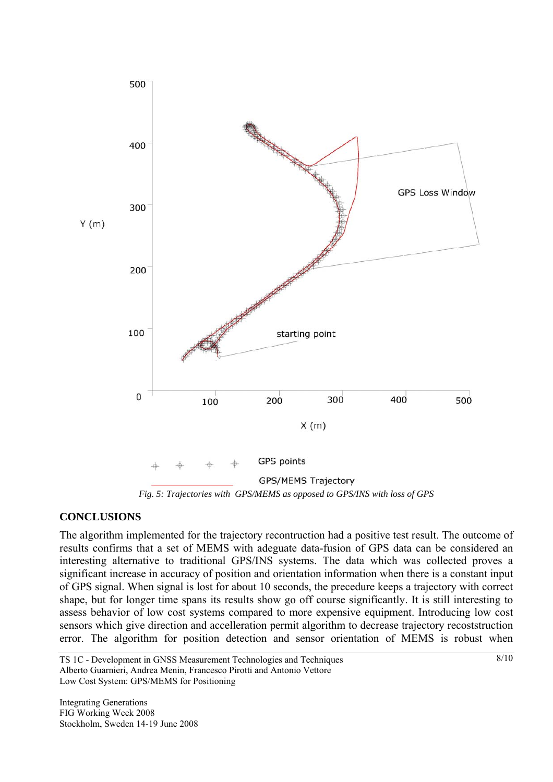

*Fig. 5: Trajectories with GPS/MEMS as opposed to GPS/INS with loss of GPS* 

## **CONCLUSIONS**

The algorithm implemented for the trajectory recontruction had a positive test result. The outcome of results confirms that a set of MEMS with adeguate data-fusion of GPS data can be considered an interesting alternative to traditional GPS/INS systems. The data which was collected proves a significant increase in accuracy of position and orientation information when there is a constant input of GPS signal. When signal is lost for about 10 seconds, the precedure keeps a trajectory with correct shape, but for longer time spans its results show go off course significantly. It is still interesting to assess behavior of low cost systems compared to more expensive equipment. Introducing low cost sensors which give direction and accelleration permit algorithm to decrease trajectory recoststruction error. The algorithm for position detection and sensor orientation of MEMS is robust when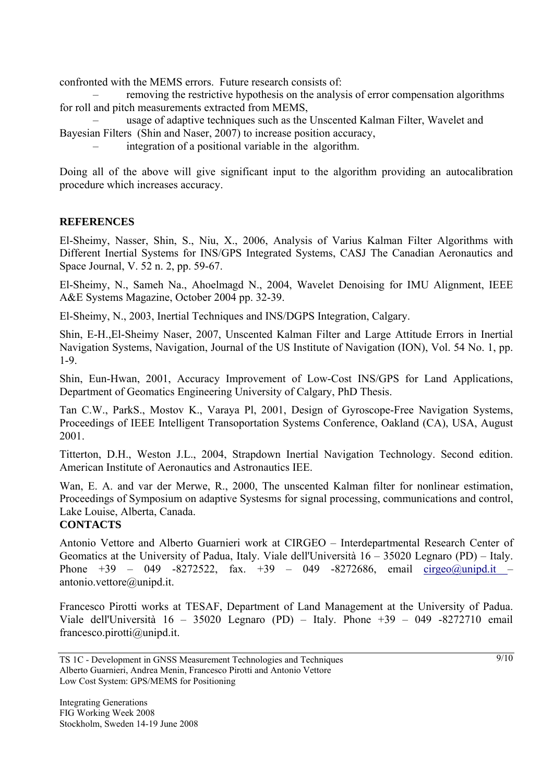confronted with the MEMS errors. Future research consists of:

– removing the restrictive hypothesis on the analysis of error compensation algorithms for roll and pitch measurements extracted from MEMS,

– usage of adaptive techniques such as the Unscented Kalman Filter, Wavelet and Bayesian Filters (Shin and Naser, 2007) to increase position accuracy,

– integration of a positional variable in the algorithm.

Doing all of the above will give significant input to the algorithm providing an autocalibration procedure which increases accuracy.

## **REFERENCES**

El-Sheimy, Nasser, Shin, S., Niu, X., 2006, Analysis of Varius Kalman Filter Algorithms with Different Inertial Systems for INS/GPS Integrated Systems, CASJ The Canadian Aeronautics and Space Journal, V. 52 n. 2, pp. 59-67.

El-Sheimy, N., Sameh Na., Ahoelmagd N., 2004, Wavelet Denoising for IMU Alignment, IEEE A&E Systems Magazine, October 2004 pp. 32-39.

El-Sheimy, N., 2003, Inertial Techniques and INS/DGPS Integration, Calgary.

Shin, E-H.,El-Sheimy Naser, 2007, Unscented Kalman Filter and Large Attitude Errors in Inertial Navigation Systems, Navigation, Journal of the US Institute of Navigation (ION), Vol. 54 No. 1, pp. 1-9.

Shin, Eun-Hwan, 2001, Accuracy Improvement of Low-Cost INS/GPS for Land Applications, Department of Geomatics Engineering University of Calgary, PhD Thesis.

Tan C.W., ParkS., Mostov K., Varaya Pl, 2001, Design of Gyroscope-Free Navigation Systems, Proceedings of IEEE Intelligent Transoportation Systems Conference, Oakland (CA), USA, August 2001.

Titterton, D.H., Weston J.L., 2004, Strapdown Inertial Navigation Technology. Second edition. American Institute of Aeronautics and Astronautics IEE.

Wan, E. A. and var der Merwe, R., 2000, The unscented Kalman filter for nonlinear estimation, Proceedings of Symposium on adaptive Systesms for signal processing, communications and control, Lake Louise, Alberta, Canada.

## **CONTACTS**

Antonio Vettore and Alberto Guarnieri work at CIRGEO – Interdepartmental Research Center of Geomatics at the University of Padua, Italy. Viale dell'Università 16 – 35020 Legnaro (PD) – Italy. Phone  $+39 - 049 -8272522$ , fax.  $+39 - 049 -8272686$ , email cirgeo@unipd.it – antonio.vettore@unipd.it.

Francesco Pirotti works at TESAF, Department of Land Management at the University of Padua. Viale dell'Università  $16 - 35020$  Legnaro (PD) – Italy. Phone  $+39 - 049 -8272710$  email francesco.pirotti@unipd.it.

TS 1C - Development in GNSS Measurement Technologies and Techniques Alberto Guarnieri, Andrea Menin, Francesco Pirotti and Antonio Vettore Low Cost System: GPS/MEMS for Positioning